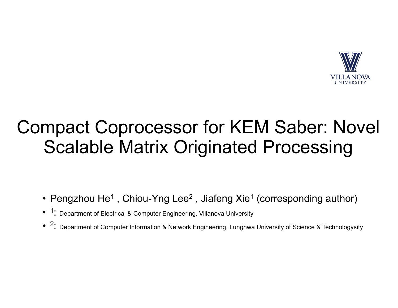

### Compact Coprocessor for KEM Saber: Novel Scalable Matrix Originated Processing

- Pengzhou He<sup>1</sup>, Chiou-Yng Lee<sup>2</sup>, Jiafeng Xie<sup>1</sup> (corresponding author)
- <sup>1</sup>: Department of Electrical & Computer Engineering, Villanova University
- $\bullet$   $~^2$ : Department of Computer Information & Network Engineering, Lunghwa University of Science & Technologysity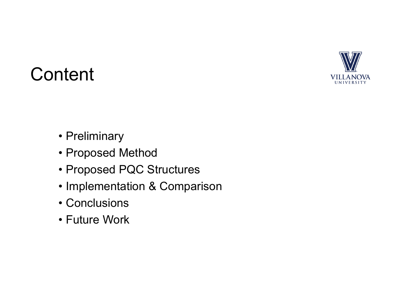

## **Content**

- Preliminary
- Proposed Method
- Proposed PQC Structures
- Implementation & Comparison
- Conclusions
- Future Work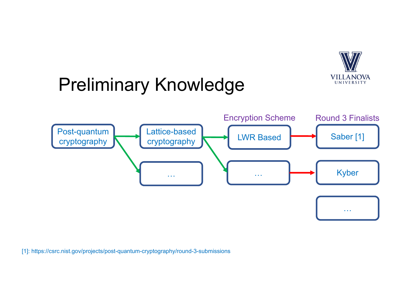

## Preliminary Knowledge



[1]: <https://csrc.nist.gov/projects/post-quantum-cryptography/round-3-submissions>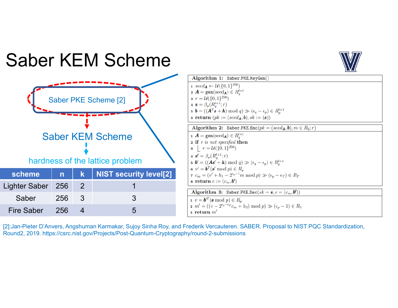### Saber KEM Scheme



[2]:Jan-Pieter D'Anvers, Angshuman Karmakar, Sujoy Sinha Roy, and Frederik Vercauteren. SABER. Proposal to NIST PQC Standardization, Round2, 2019. <https://csrc.nist.gov/Projects/Post-Quantum-Cryptography/round-2-submissions>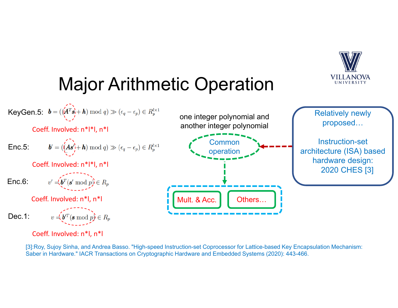

# Major Arithmetic Operation

KeyGen.5: 
$$
\mathbf{b} = (\langle \mathbf{A}^T \mathbf{s}_1 + \mathbf{h} \rangle \bmod q) \gg (\epsilon_q - \epsilon_p) \in R_p^{l \times 1}
$$

Coeff. Involved: <sup>n</sup>\*l\*l, <sup>n</sup>\*l

**Enc.5:** 
$$
\mathbf{b}' = (\overbrace{(\mathbf{A}\mathbf{s}'}^{k+1} + \mathbf{h}) \mod q) \gg (\epsilon_q - \epsilon_p) \in R_p^{l \times 1}
$$
 **Common** operation

Coeff. Involved: <sup>n</sup>\*l\*l, <sup>n</sup>\*l

**Enc.6:** 
$$
v' = (b^T(s' \bmod p)) \in R_p
$$

Coeff. Involved: <sup>n</sup>\*l, <sup>n</sup>\*l

**Dec.1:** 
$$
v = \underbrace{\mathbf{v}^T(\mathbf{s} \bmod p)} \in R_p
$$

Coeff. Involved: <sup>n</sup>\*l, <sup>n</sup>\*l



Relatively newly proposed…

Instruction-set architecture (ISA) based hardware design: 2020 CHES [3]

[3]:Roy, Sujoy Sinha, and Andrea Basso. "High-speed Instruction-set Coprocessor for Lattice-based Key Encapsulation Mechanism: Saber in Hardware." IACR Transactions on Cryptographic Hardware and Embedded Systems (2020): 443-466.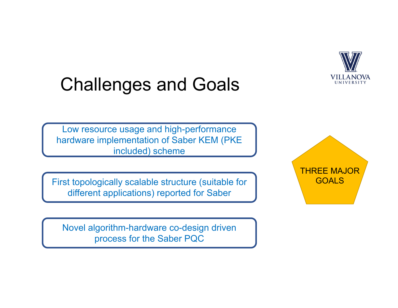

## Challenges and Goals

Low resource usage and high-performance hardware implementation of Saber KEM (PKE included) scheme

First topologically scalable structure (suitable for different applications) reported for Saber

Novel algorithm-hardware co-design driven process for the Saber PQC

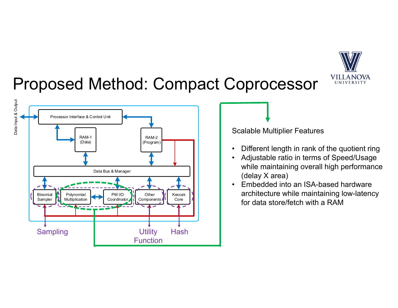

#### Proposed Method: Compact Coprocessor



Scalable Multiplier Features

- Different length in rank of the quotient ring
- Adjustable ratio in terms of Speed/Usage while maintaining overall high performance (delay X area)
- Embedded into an ISA-based hardware architecture while maintaining low-latency for data store/fetch with a RAM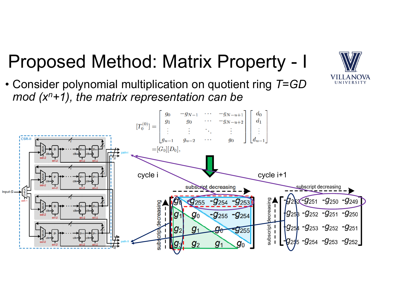#### Proposed Method: Matrix Property - I

• Consider polynomial multiplication on quotient ring *T*=*GD mod (xn+1), the matrix representation can be* 



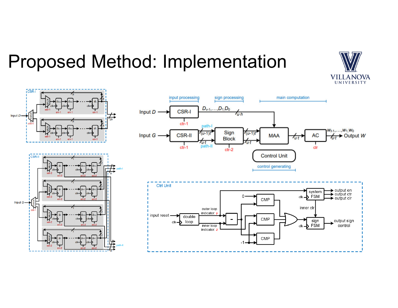### Proposed Method: Implementation



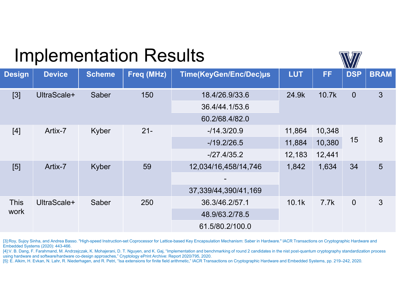#### Implementation Results

 Delay (ns) \* Area (#LUT+#FF) for standard Saber implementation, -/27.4/35.2 Artix-7 Kyber 59 12,034/16,458/14,746 Design | Device | Scheme | Freq (MHz) | Time(KeyGen/Enc/Dec)µs | LUT | FF | DSP | BRAM [3] UltraScale+ Saber 150 18.4/26.9/33.6 24.9k 10.7k 0 3 36.4/44.1/53.6 60.2/68.4/82.0 [4] [5] Artix-7 Artix-7 Kyber Kyber  $21 -$ 59 -/14.3/20.9 -/19.2/26.5 11,864 11,884 12,183 1,842 10,348 10,380 12,441 1,634 15 34 8 5 This work UltraScale+ Saber 250 37,339/44,390/41,169 36.3/46.2/57.1 48.9/63.2/78.5 61.5/80.2/100.0 10.1k 7.7k 0 3

[3]:Roy, Sujoy Sinha, and Andrea Basso. "High-speed Instruction-set Coprocessor for Lattice-based Key Encapsulation Mechanism: Saber in Hardware." IACR Transactions on Cryptographic Hardware and Embedded Systems (2020): 443-466.

[4]:V. B. Dang, F. Farahmand, M. Andrzejczak, K. Mohajerani, D. T. Nguyen, and K. Gaj, "Implementation and benchmarking of round 2 candidates in the nist post-quantum cryptography standardization process using hardware and software/hardware co-design approaches," Cryptology ePrint Archive: Report 2020/795, 2020.

[5]: E. Alkim, H. Evkan, N. Lahr, R. Niederhagen, and R. Petri, "Isa extensions for finite field arithmetic," IACR Transactions on Cryptographic Hardware and Embedded Systems, pp. 219–242, 2020.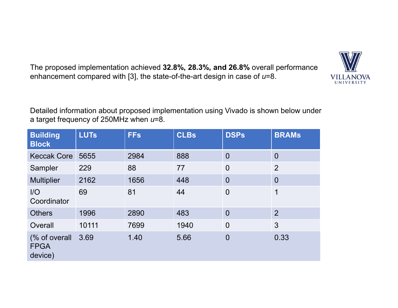The proposed implementation achieved **32.8%, 28.3%, and 26.8%** overall performance enhancement compared with [3], the state-of-the-art design in case of *u*=8.



| <b>Building</b><br><b>Block</b>         | <b>LUTs</b> | <b>FFs</b> | <b>CLBs</b> | <b>DSPs</b>    | <b>BRAMS</b>   |
|-----------------------------------------|-------------|------------|-------------|----------------|----------------|
| <b>Keccak Core</b>                      | 5655        | 2984       | 888         | $\overline{0}$ | $\overline{0}$ |
| Sampler                                 | 229         | 88         | 77          | $\overline{0}$ | $\overline{2}$ |
| <b>Multiplier</b>                       | 2162        | 1656       | 448         | $\overline{0}$ | $\overline{0}$ |
| I/O<br>Coordinator                      | 69          | 81         | 44          | $\overline{0}$ | 1              |
| <b>Others</b>                           | 1996        | 2890       | 483         | $\overline{0}$ | $\overline{2}$ |
| Overall                                 | 10111       | 7699       | 1940        | $\overline{0}$ | 3              |
| (% of overall<br><b>FPGA</b><br>device) | 3.69        | 1.40       | 5.66        | $\overline{0}$ | 0.33           |

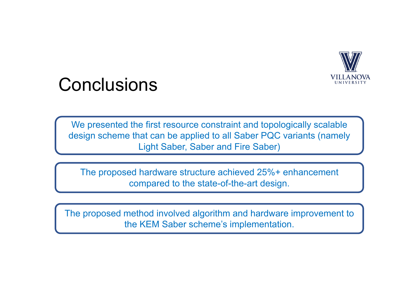

#### **Conclusions**

We presented the first resource constraint and topologically scalable design scheme that can be applied to all Saber PQC variants (namely Light Saber, Saber and Fire Saber)

The proposed hardware structure achieved 25%+ enhancement compared to the state-of-the-art design.

The proposed method involved algorithm and hardware improvement to the KEM Saber scheme's implementation.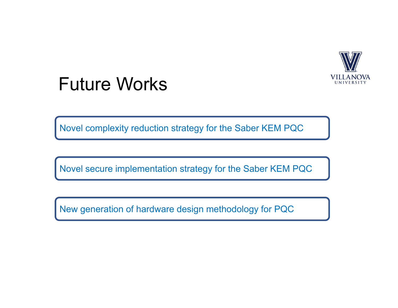

#### Future Works

Novel complexity reduction strategy for the Saber KEM PQC

Novel secure implementation strategy for the Saber KEM PQC

New generation of hardware design methodology for PQC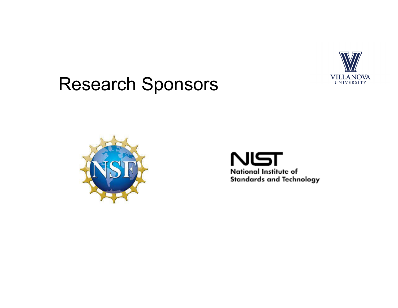

### Research Sponsors